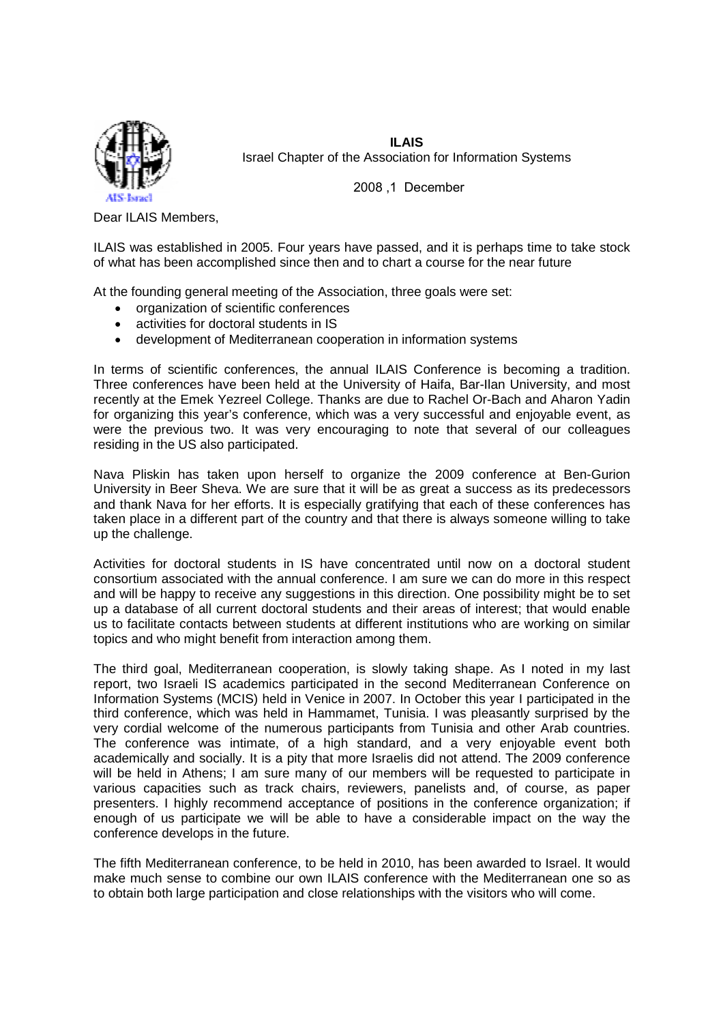

**ILAIS** Israel Chapter of the Association for Information Systems

2008 ,1 December

Dear ILAIS Members,

ILAIS was established in 2005. Four years have passed, and it is perhaps time to take stock of what has been accomplished since then and to chart a course for the near future

At the founding general meeting of the Association, three goals were set:

- organization of scientific conferences
- activities for doctoral students in IS
- development of Mediterranean cooperation in information systems

In terms of scientific conferences, the annual ILAIS Conference is becoming a tradition. Three conferences have been held at the University of Haifa, Bar-Ilan University, and most recently at the Emek Yezreel College. Thanks are due to Rachel Or-Bach and Aharon Yadin for organizing this year's conference, which was a very successful and enjoyable event, as were the previous two. It was very encouraging to note that several of our colleagues residing in the US also participated.

Nava Pliskin has taken upon herself to organize the 2009 conference at Ben-Gurion University in Beer Sheva. We are sure that it will be as great a success as its predecessors and thank Nava for her efforts. It is especially gratifying that each of these conferences has taken place in a different part of the country and that there is always someone willing to take up the challenge.

Activities for doctoral students in IS have concentrated until now on a doctoral student consortium associated with the annual conference. I am sure we can do more in this respect and will be happy to receive any suggestions in this direction. One possibility might be to set up a database of all current doctoral students and their areas of interest; that would enable us to facilitate contacts between students at different institutions who are working on similar topics and who might benefit from interaction among them.

The third goal, Mediterranean cooperation, is slowly taking shape. As I noted in my last report, two Israeli IS academics participated in the second Mediterranean Conference on Information Systems (MCIS) held in Venice in 2007. In October this year I participated in the third conference, which was held in Hammamet, Tunisia. I was pleasantly surprised by the very cordial welcome of the numerous participants from Tunisia and other Arab countries. The conference was intimate, of a high standard, and a very enjoyable event both academically and socially. It is a pity that more Israelis did not attend. The 2009 conference will be held in Athens; I am sure many of our members will be requested to participate in various capacities such as track chairs, reviewers, panelists and, of course, as paper presenters. I highly recommend acceptance of positions in the conference organization; if enough of us participate we will be able to have a considerable impact on the way the conference develops in the future.

The fifth Mediterranean conference, to be held in 2010, has been awarded to Israel. It would make much sense to combine our own ILAIS conference with the Mediterranean one so as to obtain both large participation and close relationships with the visitors who will come.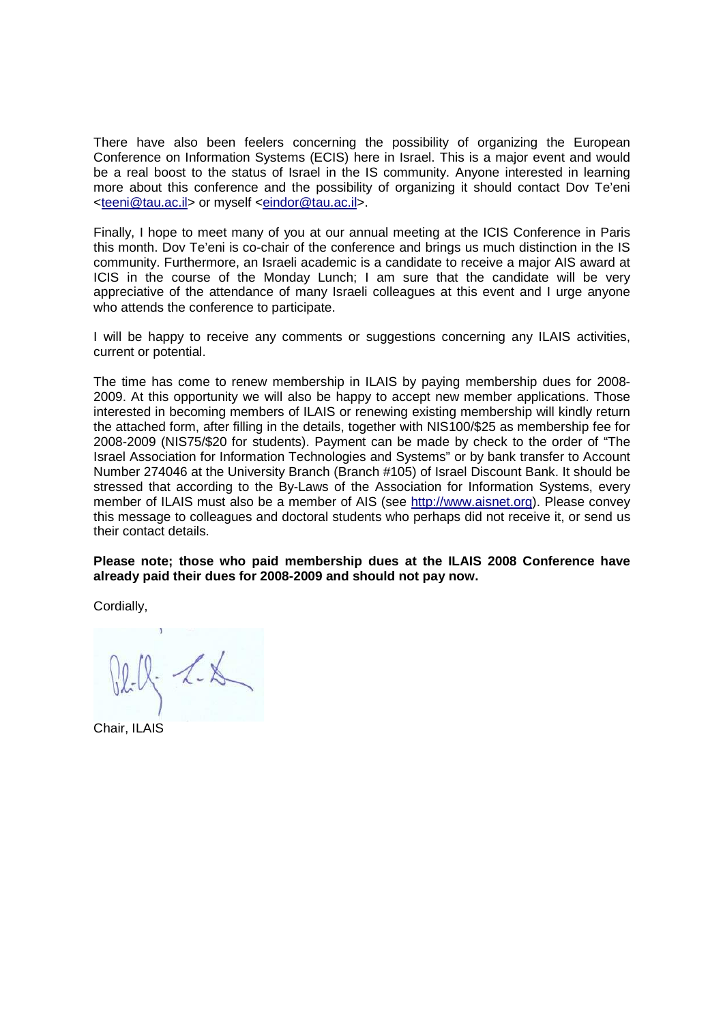There have also been feelers concerning the possibility of organizing the European Conference on Information Systems (ECIS) here in Israel. This is a major event and would be a real boost to the status of Israel in the IS community. Anyone interested in learning more about this conference and the possibility of organizing it should contact Dov Te'eni <teeni@tau.ac.il> or myself <eindor@tau.ac.il>.

Finally, I hope to meet many of you at our annual meeting at the ICIS Conference in Paris this month. Dov Te'eni is co-chair of the conference and brings us much distinction in the IS community. Furthermore, an Israeli academic is a candidate to receive a major AIS award at ICIS in the course of the Monday Lunch; I am sure that the candidate will be very appreciative of the attendance of many Israeli colleagues at this event and I urge anyone who attends the conference to participate.

I will be happy to receive any comments or suggestions concerning any ILAIS activities, current or potential.

The time has come to renew membership in ILAIS by paying membership dues for 2008- 2009. At this opportunity we will also be happy to accept new member applications. Those interested in becoming members of ILAIS or renewing existing membership will kindly return the attached form, after filling in the details, together with NIS100/\$25 as membership fee for 2008-2009 (NIS75/\$20 for students). Payment can be made by check to the order of "The Israel Association for Information Technologies and Systems" or by bank transfer to Account Number 274046 at the University Branch (Branch #105) of Israel Discount Bank. It should be stressed that according to the By-Laws of the Association for Information Systems, every member of ILAIS must also be a member of AIS (see http://www.aisnet.org). Please convey this message to colleagues and doctoral students who perhaps did not receive it, or send us their contact details.

**Please note; those who paid membership dues at the ILAIS 2008 Conference have already paid their dues for 2008-2009 and should not pay now.** 

Cordially,

 $x - 25$ 

Chair, ILAIS